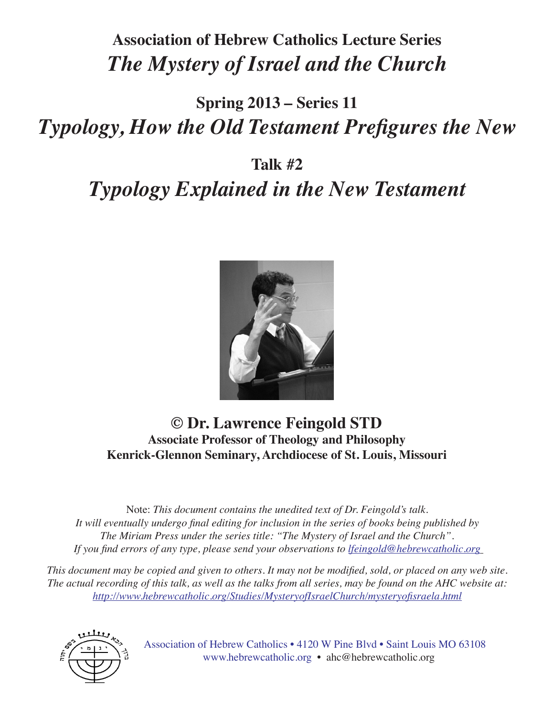## **Association of Hebrew Catholics Lecture Series** *The Mystery of Israel and the Church*

## **Spring 2013 – Series 11** *Typology, How the Old Testament Prefigures the New*

### **Talk #2**

# *Typology Explained in the New Testament*



### **© Dr. Lawrence Feingold STD Associate Professor of Theology and Philosophy Kenrick-Glennon Seminary, Archdiocese of St. Louis, Missouri**

Note: *This document contains the unedited text of Dr. Feingold's talk. It will eventually undergo final editing for inclusion in the series of books being published by The Miriam Press under the series title: "The Mystery of Israel and the Church". If you find errors of any type, please send your observations to lfeingold@hebrewcatholic.org*

*This document may be copied and given to others. It may not be modified, sold, or placed on any web site. The actual recording of this talk, as well as the talks from all series, may be found on the AHC website at: http://www.hebrewcatholic.org/Studies/MysteryofIsraelChurch/mysteryofisraela.html*



Association of Hebrew Catholics • 4120 W Pine Blvd • Saint Louis MO 63108 www.hebrewcatholic.org • ahc@hebrewcatholic.org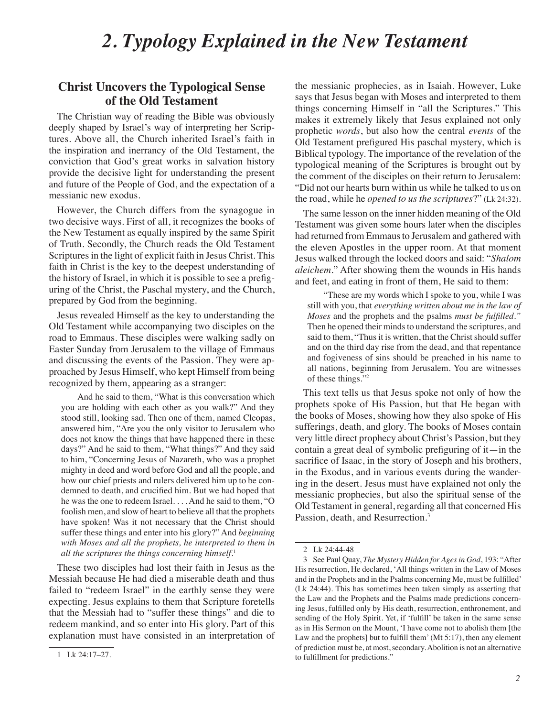### *2. Typology Explained in the New Testament*

#### **Christ Uncovers the Typological Sense of the Old Testament**

The Christian way of reading the Bible was obviously deeply shaped by Israel's way of interpreting her Scriptures. Above all, the Church inherited Israel's faith in the inspiration and inerrancy of the Old Testament, the conviction that God's great works in salvation history provide the decisive light for understanding the present and future of the People of God, and the expectation of a messianic new exodus.

However, the Church differs from the synagogue in two decisive ways. First of all, it recognizes the books of the New Testament as equally inspired by the same Spirit of Truth. Secondly, the Church reads the Old Testament Scriptures in the light of explicit faith in Jesus Christ. This faith in Christ is the key to the deepest understanding of the history of Israel, in which it is possible to see a prefiguring of the Christ, the Paschal mystery, and the Church, prepared by God from the beginning.

Jesus revealed Himself as the key to understanding the Old Testament while accompanying two disciples on the road to Emmaus. These disciples were walking sadly on Easter Sunday from Jerusalem to the village of Emmaus and discussing the events of the Passion. They were approached by Jesus Himself, who kept Himself from being recognized by them, appearing as a stranger:

And he said to them, "What is this conversation which you are holding with each other as you walk?" And they stood still, looking sad. Then one of them, named Cleopas, answered him, "Are you the only visitor to Jerusalem who does not know the things that have happened there in these days?" And he said to them, "What things?" And they said to him, "Concerning Jesus of Nazareth, who was a prophet mighty in deed and word before God and all the people, and how our chief priests and rulers delivered him up to be condemned to death, and crucified him. But we had hoped that he was the one to redeem Israel. . . . And he said to them, "O foolish men, and slow of heart to believe all that the prophets have spoken! Was it not necessary that the Christ should suffer these things and enter into his glory?" And *beginning with Moses and all the prophets, he interpreted to them in all the scriptures the things concerning himself*. 1

These two disciples had lost their faith in Jesus as the Messiah because He had died a miserable death and thus failed to "redeem Israel" in the earthly sense they were expecting. Jesus explains to them that Scripture foretells that the Messiah had to "suffer these things" and die to redeem mankind, and so enter into His glory. Part of this explanation must have consisted in an interpretation of the messianic prophecies, as in Isaiah. However, Luke says that Jesus began with Moses and interpreted to them things concerning Himself in "all the Scriptures." This makes it extremely likely that Jesus explained not only prophetic *words*, but also how the central *events* of the Old Testament prefigured His paschal mystery, which is Biblical typology. The importance of the revelation of the typological meaning of the Scriptures is brought out by the comment of the disciples on their return to Jerusalem: "Did not our hearts burn within us while he talked to us on the road, while he *opened to us the scriptures*?" (Lk 24:32).

The same lesson on the inner hidden meaning of the Old Testament was given some hours later when the disciples had returned from Emmaus to Jerusalem and gathered with the eleven Apostles in the upper room. At that moment Jesus walked through the locked doors and said: "*Shalom aleichem*." After showing them the wounds in His hands and feet, and eating in front of them, He said to them:

"These are my words which I spoke to you, while I was still with you, that *everything written about me in the law of Moses* and the prophets and the psalms *must be fulfilled."*  Then he opened their minds to understand the scriptures, and said to them, "Thus it is written, that the Christ should suffer and on the third day rise from the dead, and that repentance and fogiveness of sins should be preached in his name to all nations, beginning from Jerusalem. You are witnesses of these things."2

This text tells us that Jesus spoke not only of how the prophets spoke of His Passion, but that He began with the books of Moses, showing how they also spoke of His sufferings, death, and glory. The books of Moses contain very little direct prophecy about Christ's Passion, but they contain a great deal of symbolic prefiguring of it—in the sacrifice of Isaac, in the story of Joseph and his brothers, in the Exodus, and in various events during the wandering in the desert. Jesus must have explained not only the messianic prophecies, but also the spiritual sense of the Old Testament in general, regarding all that concerned His Passion, death, and Resurrection.<sup>3</sup>

<sup>1</sup> Lk 24:17–27.

<sup>2</sup> Lk 24:44-48

<sup>3</sup> See Paul Quay, *The Mystery Hidden for Ages in God*, 193: "After His resurrection, He declared, 'All things written in the Law of Moses and in the Prophets and in the Psalms concerning Me, must be fulfilled' (Lk 24:44). This has sometimes been taken simply as asserting that the Law and the Prophets and the Psalms made predictions concerning Jesus, fulfilled only by His death, resurrection, enthronement, and sending of the Holy Spirit. Yet, if 'fulfill' be taken in the same sense as in His Sermon on the Mount, 'I have come not to abolish them [the Law and the prophets] but to fulfill them' (Mt 5:17), then any element of prediction must be, at most, secondary. Abolition is not an alternative to fulfillment for predictions."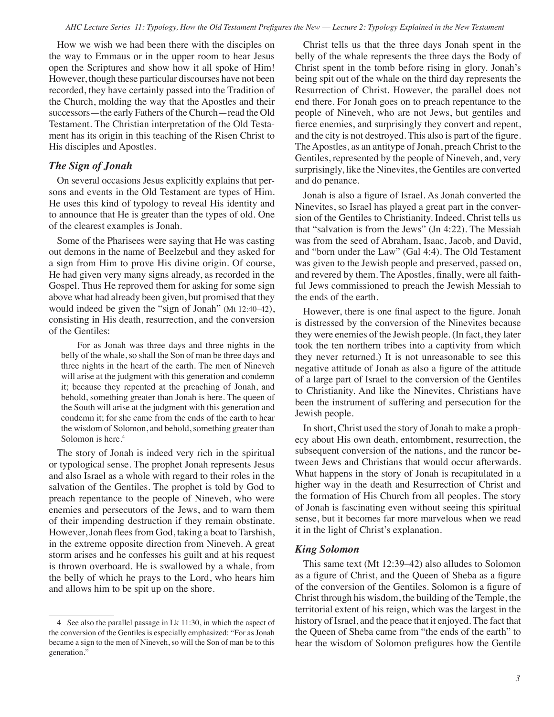How we wish we had been there with the disciples on the way to Emmaus or in the upper room to hear Jesus open the Scriptures and show how it all spoke of Him! However, though these particular discourses have not been recorded, they have certainly passed into the Tradition of the Church, molding the way that the Apostles and their successors—the early Fathers of the Church—read the Old Testament. The Christian interpretation of the Old Testament has its origin in this teaching of the Risen Christ to His disciples and Apostles.

#### *The Sign of Jonah*

On several occasions Jesus explicitly explains that persons and events in the Old Testament are types of Him. He uses this kind of typology to reveal His identity and to announce that He is greater than the types of old. One of the clearest examples is Jonah.

Some of the Pharisees were saying that He was casting out demons in the name of Beelzebul and they asked for a sign from Him to prove His divine origin. Of course, He had given very many signs already, as recorded in the Gospel. Thus He reproved them for asking for some sign above what had already been given, but promised that they would indeed be given the "sign of Jonah" (Mt 12:40–42), consisting in His death, resurrection, and the conversion of the Gentiles:

For as Jonah was three days and three nights in the belly of the whale, so shall the Son of man be three days and three nights in the heart of the earth. The men of Nineveh will arise at the judgment with this generation and condemn it; because they repented at the preaching of Jonah, and behold, something greater than Jonah is here. The queen of the South will arise at the judgment with this generation and condemn it; for she came from the ends of the earth to hear the wisdom of Solomon, and behold, something greater than Solomon is here.<sup>4</sup>

The story of Jonah is indeed very rich in the spiritual or typological sense. The prophet Jonah represents Jesus and also Israel as a whole with regard to their roles in the salvation of the Gentiles. The prophet is told by God to preach repentance to the people of Nineveh, who were enemies and persecutors of the Jews, and to warn them of their impending destruction if they remain obstinate. However, Jonah flees from God, taking a boat to Tarshish, in the extreme opposite direction from Nineveh. A great storm arises and he confesses his guilt and at his request is thrown overboard. He is swallowed by a whale, from the belly of which he prays to the Lord, who hears him and allows him to be spit up on the shore.

Christ tells us that the three days Jonah spent in the belly of the whale represents the three days the Body of Christ spent in the tomb before rising in glory. Jonah's being spit out of the whale on the third day represents the Resurrection of Christ. However, the parallel does not end there. For Jonah goes on to preach repentance to the people of Nineveh, who are not Jews, but gentiles and fierce enemies, and surprisingly they convert and repent, and the city is not destroyed. This also is part of the figure. The Apostles, as an antitype of Jonah, preach Christ to the Gentiles, represented by the people of Nineveh, and, very surprisingly, like the Ninevites, the Gentiles are converted and do penance.

Jonah is also a figure of Israel. As Jonah converted the Ninevites, so Israel has played a great part in the conversion of the Gentiles to Christianity. Indeed, Christ tells us that "salvation is from the Jews" (Jn 4:22). The Messiah was from the seed of Abraham, Isaac, Jacob, and David, and "born under the Law" (Gal 4:4). The Old Testament was given to the Jewish people and preserved, passed on, and revered by them. The Apostles, finally, were all faithful Jews commissioned to preach the Jewish Messiah to the ends of the earth.

However, there is one final aspect to the figure. Jonah is distressed by the conversion of the Ninevites because they were enemies of the Jewish people. (In fact, they later took the ten northern tribes into a captivity from which they never returned.) It is not unreasonable to see this negative attitude of Jonah as also a figure of the attitude of a large part of Israel to the conversion of the Gentiles to Christianity. And like the Ninevites, Christians have been the instrument of suffering and persecution for the Jewish people.

In short, Christ used the story of Jonah to make a prophecy about His own death, entombment, resurrection, the subsequent conversion of the nations, and the rancor between Jews and Christians that would occur afterwards. What happens in the story of Jonah is recapitulated in a higher way in the death and Resurrection of Christ and the formation of His Church from all peoples. The story of Jonah is fascinating even without seeing this spiritual sense, but it becomes far more marvelous when we read it in the light of Christ's explanation.

#### *King Solomon*

This same text (Mt 12:39–42) also alludes to Solomon as a figure of Christ, and the Queen of Sheba as a figure of the conversion of the Gentiles. Solomon is a figure of Christ through his wisdom, the building of the Temple, the territorial extent of his reign, which was the largest in the history of Israel, and the peace that it enjoyed. The fact that the Queen of Sheba came from "the ends of the earth" to hear the wisdom of Solomon prefigures how the Gentile

<sup>4</sup> See also the parallel passage in Lk 11:30, in which the aspect of the conversion of the Gentiles is especially emphasized: "For as Jonah became a sign to the men of Nineveh, so will the Son of man be to this generation."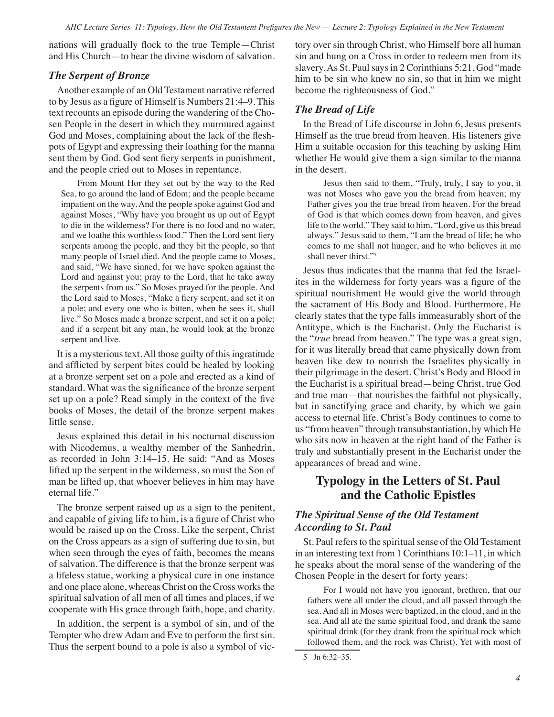nations will gradually flock to the true Temple—Christ and His Church—to hear the divine wisdom of salvation.

#### *The Serpent of Bronze*

Another example of an Old Testament narrative referred to by Jesus as a figure of Himself is Numbers 21:4–9. This text recounts an episode during the wandering of the Chosen People in the desert in which they murmured against God and Moses, complaining about the lack of the fleshpots of Egypt and expressing their loathing for the manna sent them by God. God sent fiery serpents in punishment, and the people cried out to Moses in repentance.

From Mount Hor they set out by the way to the Red Sea, to go around the land of Edom; and the people became impatient on the way. And the people spoke against God and against Moses, "Why have you brought us up out of Egypt to die in the wilderness? For there is no food and no water, and we loathe this worthless food." Then the Lord sent fiery serpents among the people, and they bit the people, so that many people of Israel died. And the people came to Moses, and said, "We have sinned, for we have spoken against the Lord and against you; pray to the Lord, that he take away the serpents from us." So Moses prayed for the people. And the Lord said to Moses, "Make a fiery serpent, and set it on a pole; and every one who is bitten, when he sees it, shall live." So Moses made a bronze serpent, and set it on a pole; and if a serpent bit any man, he would look at the bronze serpent and live.

It is a mysterious text. All those guilty of this ingratitude and afflicted by serpent bites could be healed by looking at a bronze serpent set on a pole and erected as a kind of standard. What was the significance of the bronze serpent set up on a pole? Read simply in the context of the five books of Moses, the detail of the bronze serpent makes little sense.

Jesus explained this detail in his nocturnal discussion with Nicodemus, a wealthy member of the Sanhedrin, as recorded in John 3:14–15. He said: "And as Moses lifted up the serpent in the wilderness, so must the Son of man be lifted up, that whoever believes in him may have eternal life."

The bronze serpent raised up as a sign to the penitent, and capable of giving life to him, is a figure of Christ who would be raised up on the Cross. Like the serpent, Christ on the Cross appears as a sign of suffering due to sin, but when seen through the eyes of faith, becomes the means of salvation. The difference is that the bronze serpent was a lifeless statue, working a physical cure in one instance and one place alone, whereas Christ on the Cross works the spiritual salvation of all men of all times and places, if we cooperate with His grace through faith, hope, and charity.

In addition, the serpent is a symbol of sin, and of the Tempter who drew Adam and Eve to perform the first sin. Thus the serpent bound to a pole is also a symbol of victory over sin through Christ, who Himself bore all human sin and hung on a Cross in order to redeem men from its slavery. As St. Paul says in 2 Corinthians 5:21, God "made him to be sin who knew no sin, so that in him we might become the righteousness of God."

#### *The Bread of Life*

In the Bread of Life discourse in John 6, Jesus presents Himself as the true bread from heaven. His listeners give Him a suitable occasion for this teaching by asking Him whether He would give them a sign similar to the manna in the desert.

Jesus then said to them, "Truly, truly, I say to you, it was not Moses who gave you the bread from heaven; my Father gives you the true bread from heaven. For the bread of God is that which comes down from heaven, and gives life to the world." They said to him, "Lord, give us this bread always." Jesus said to them, "I am the bread of life; he who comes to me shall not hunger, and he who believes in me shall never thirst."5

Jesus thus indicates that the manna that fed the Israelites in the wilderness for forty years was a figure of the spiritual nourishment He would give the world through the sacrament of His Body and Blood. Furthermore, He clearly states that the type falls immeasurably short of the Antitype, which is the Eucharist. Only the Eucharist is the "*true* bread from heaven." The type was a great sign, for it was literally bread that came physically down from heaven like dew to nourish the Israelites physically in their pilgrimage in the desert. Christ's Body and Blood in the Eucharist is a spiritual bread—being Christ, true God and true man—that nourishes the faithful not physically, but in sanctifying grace and charity, by which we gain access to eternal life. Christ's Body continues to come to us "from heaven" through transubstantiation, by which He who sits now in heaven at the right hand of the Father is truly and substantially present in the Eucharist under the appearances of bread and wine.

#### **Typology in the Letters of St. Paul and the Catholic Epistles**

#### *The Spiritual Sense of the Old Testament According to St. Paul*

St. Paul refers to the spiritual sense of the Old Testament in an interesting text from 1 Corinthians 10:1–11, in which he speaks about the moral sense of the wandering of the Chosen People in the desert for forty years:

For I would not have you ignorant, brethren, that our fathers were all under the cloud, and all passed through the sea. And all in Moses were baptized, in the cloud, and in the sea. And all ate the same spiritual food, and drank the same spiritual drink (for they drank from the spiritual rock which followed them, and the rock was Christ). Yet with most of

<sup>5</sup> Jn 6:32–35.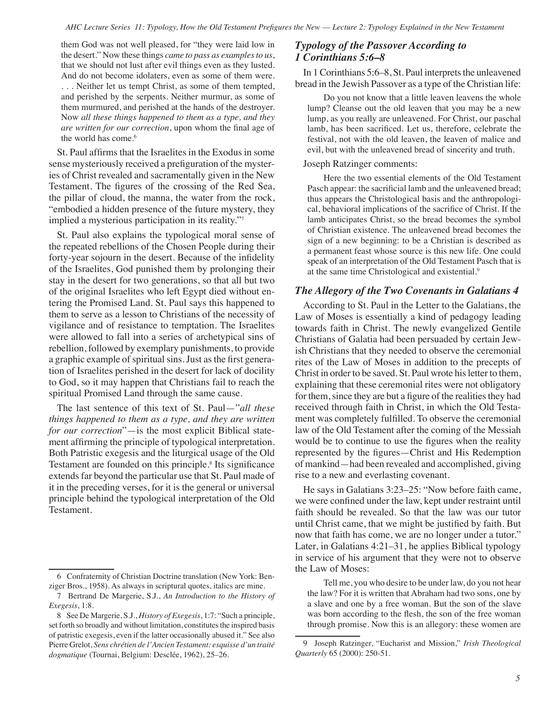them God was not well pleased, for "they were laid low in the desert." Now these things *came to pass as examples to us*, that we should not lust after evil things even as they lusted. And do not become idolaters, even as some of them were. . . . Neither let us tempt Christ, as some of them tempted, and perished by the serpents. Neither murmur, as some of them murmured, and perished at the hands of the destroyer. Now *all these things happened to them as a type, and they are written for our correction*, upon whom the final age of the world has come.<sup>6</sup>

St. Paul affirms that the Israelites in the Exodus in some sense mysteriously received a prefiguration of the mysteries of Christ revealed and sacramentally given in the New Testament. The figures of the crossing of the Red Sea, the pillar of cloud, the manna, the water from the rock, "embodied a hidden presence of the future mystery, they implied a mysterious participation in its reality."7

St. Paul also explains the typological moral sense of the repeated rebellions of the Chosen People during their forty-year sojourn in the desert. Because of the infidelity of the Israelites, God punished them by prolonging their stay in the desert for two generations, so that all but two of the original Israelites who left Egypt died without entering the Promised Land. St. Paul says this happened to them to serve as a lesson to Christians of the necessity of vigilance and of resistance to temptation. The Israelites were allowed to fall into a series of archetypical sins of rebellion, followed by exemplary punishments, to provide a graphic example of spiritual sins. Just as the first generation of Israelites perished in the desert for lack of docility to God, so it may happen that Christians fail to reach the spiritual Promised Land through the same cause.

The last sentence of this text of St. Paul—"*all these things happened to them as a type, and they are written for our correction*"—is the most explicit Biblical statement affirming the principle of typological interpretation. Both Patristic exegesis and the liturgical usage of the Old Testament are founded on this principle.<sup>8</sup> Its significance extends far beyond the particular use that St. Paul made of it in the preceding verses, for it is the general or universal principle behind the typological interpretation of the Old Testament.

#### *Typology of the Passover According to 1 Corinthians 5:6–8*

In 1 Corinthians 5:6–8, St. Paul interprets the unleavened bread in the Jewish Passover as a type of the Christian life:

Do you not know that a little leaven leavens the whole lump? Cleanse out the old leaven that you may be a new lump, as you really are unleavened. For Christ, our paschal lamb, has been sacrificed. Let us, therefore, celebrate the festival, not with the old leaven, the leaven of malice and evil, but with the unleavened bread of sincerity and truth.

#### Joseph Ratzinger comments:

Here the two essential elements of the Old Testament Pasch appear: the sacrificial lamb and the unleavened bread; thus appears the Christological basis and the anthropological, behavioral implications of the sacrifice of Christ. If the lamb anticipates Christ, so the bread becomes the symbol of Christian existence. The unleavened bread becomes the sign of a new beginning: to be a Christian is described as a permanent feast whose source is this new life. One could speak of an interpretation of the Old Testament Pasch that is at the same time Christological and existential.9

#### *The Allegory of the Two Covenants in Galatians 4*

According to St. Paul in the Letter to the Galatians, the Law of Moses is essentially a kind of pedagogy leading towards faith in Christ. The newly evangelized Gentile Christians of Galatia had been persuaded by certain Jewish Christians that they needed to observe the ceremonial rites of the Law of Moses in addition to the precepts of Christ in order to be saved. St. Paul wrote his letter to them, explaining that these ceremonial rites were not obligatory for them, since they are but a figure of the realities they had received through faith in Christ, in which the Old Testament was completely fulfilled. To observe the ceremonial law of the Old Testament after the coming of the Messiah would be to continue to use the figures when the reality represented by the figures—Christ and His Redemption of mankind—had been revealed and accomplished, giving rise to a new and everlasting covenant.

He says in Galatians 3:23–25: "Now before faith came, we were confined under the law, kept under restraint until faith should be revealed. So that the law was our tutor until Christ came, that we might be justified by faith. But now that faith has come, we are no longer under a tutor." Later, in Galatians 4:21–31, he applies Biblical typology in service of his argument that they were not to observe the Law of Moses:

Tell me, you who desire to be under law, do you not hear the law? For it is written that Abraham had two sons, one by a slave and one by a free woman. But the son of the slave was born according to the flesh, the son of the free woman through promise. Now this is an allegory: these women are

<sup>6</sup> Confraternity of Christian Doctrine translation (New York: Benziger Bros., 1958). As always in scriptural quotes, italics are mine.

<sup>7</sup> Bertrand De Margerie, S.J., *An Introduction to the History of Exegesis*, 1:8.

<sup>8</sup> See De Margerie, S.J., *History of Exegesis*, 1:7: "Such a principle, set forth so broadly and without limitation, constitutes the inspired basis of patristic exegesis, even if the latter occasionally abused it." See also Pierre Grelot, *Sens chrétien de l'Ancien Testament: esquisse d'un traité dogmatique* (Tournai, Belgium: Desclée, 1962), 25–26.

<sup>9</sup> Joseph Ratzinger, "Eucharist and Mission," *Irish Theological Quarterly* 65 (2000): 250-51.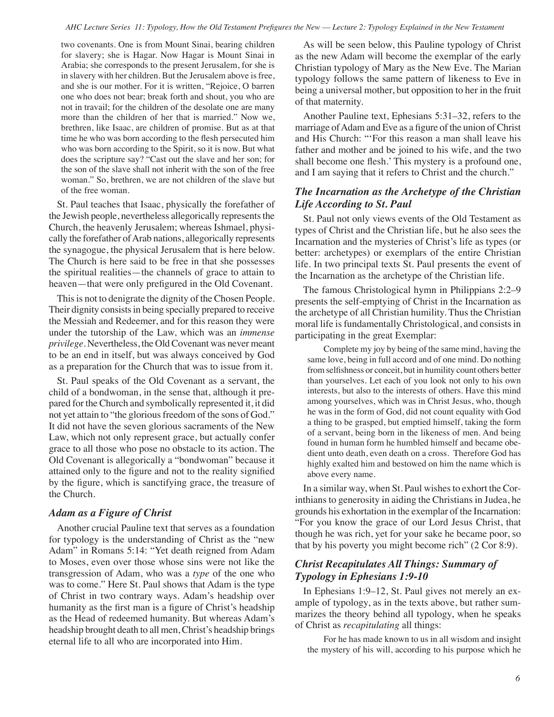two covenants. One is from Mount Sinai, bearing children for slavery; she is Hagar. Now Hagar is Mount Sinai in Arabia; she corresponds to the present Jerusalem, for she is in slavery with her children. But the Jerusalem above is free, and she is our mother. For it is written, "Rejoice, O barren one who does not bear; break forth and shout, you who are not in travail; for the children of the desolate one are many more than the children of her that is married." Now we, brethren, like Isaac, are children of promise. But as at that time he who was born according to the flesh persecuted him who was born according to the Spirit, so it is now. But what does the scripture say? "Cast out the slave and her son; for the son of the slave shall not inherit with the son of the free woman." So, brethren, we are not children of the slave but of the free woman.

St. Paul teaches that Isaac, physically the forefather of the Jewish people, nevertheless allegorically represents the Church, the heavenly Jerusalem; whereas Ishmael, physically the forefather of Arab nations, allegorically represents the synagogue, the physical Jerusalem that is here below. The Church is here said to be free in that she possesses the spiritual realities—the channels of grace to attain to heaven—that were only prefigured in the Old Covenant.

This is not to denigrate the dignity of the Chosen People. Their dignity consists in being specially prepared to receive the Messiah and Redeemer, and for this reason they were under the tutorship of the Law, which was an *immense privilege*. Nevertheless, the Old Covenant was never meant to be an end in itself, but was always conceived by God as a preparation for the Church that was to issue from it.

St. Paul speaks of the Old Covenant as a servant, the child of a bondwoman, in the sense that, although it prepared for the Church and symbolically represented it, it did not yet attain to "the glorious freedom of the sons of God." It did not have the seven glorious sacraments of the New Law, which not only represent grace, but actually confer grace to all those who pose no obstacle to its action. The Old Covenant is allegorically a "bondwoman" because it attained only to the figure and not to the reality signified by the figure, which is sanctifying grace, the treasure of the Church.

#### *Adam as a Figure of Christ*

Another crucial Pauline text that serves as a foundation for typology is the understanding of Christ as the "new Adam" in Romans 5:14: "Yet death reigned from Adam to Moses, even over those whose sins were not like the transgression of Adam, who was a *type* of the one who was to come." Here St. Paul shows that Adam is the type of Christ in two contrary ways. Adam's headship over humanity as the first man is a figure of Christ's headship as the Head of redeemed humanity. But whereas Adam's headship brought death to all men, Christ's headship brings eternal life to all who are incorporated into Him.

As will be seen below, this Pauline typology of Christ as the new Adam will become the exemplar of the early Christian typology of Mary as the New Eve. The Marian typology follows the same pattern of likeness to Eve in being a universal mother, but opposition to her in the fruit of that maternity.

Another Pauline text, Ephesians 5:31–32, refers to the marriage of Adam and Eve as a figure of the union of Christ and His Church: "'For this reason a man shall leave his father and mother and be joined to his wife, and the two shall become one flesh.' This mystery is a profound one, and I am saying that it refers to Christ and the church."

#### *The Incarnation as the Archetype of the Christian Life According to St. Paul*

St. Paul not only views events of the Old Testament as types of Christ and the Christian life, but he also sees the Incarnation and the mysteries of Christ's life as types (or better: archetypes) or exemplars of the entire Christian life. In two principal texts St. Paul presents the event of the Incarnation as the archetype of the Christian life.

The famous Christological hymn in Philippians 2:2–9 presents the self-emptying of Christ in the Incarnation as the archetype of all Christian humility. Thus the Christian moral life is fundamentally Christological, and consists in participating in the great Exemplar:

Complete my joy by being of the same mind, having the same love, being in full accord and of one mind. Do nothing from selfishness or conceit, but in humility count others better than yourselves. Let each of you look not only to his own interests, but also to the interests of others. Have this mind among yourselves, which was in Christ Jesus, who, though he was in the form of God, did not count equality with God a thing to be grasped, but emptied himself, taking the form of a servant, being born in the likeness of men. And being found in human form he humbled himself and became obedient unto death, even death on a cross. Therefore God has highly exalted him and bestowed on him the name which is above every name.

In a similar way, when St. Paul wishes to exhort the Corinthians to generosity in aiding the Christians in Judea, he grounds his exhortation in the exemplar of the Incarnation: "For you know the grace of our Lord Jesus Christ, that though he was rich, yet for your sake he became poor, so that by his poverty you might become rich" (2 Cor 8:9).

#### *Christ Recapitulates All Things: Summary of Typology in Ephesians 1:9-10*

In Ephesians 1:9–12, St. Paul gives not merely an example of typology, as in the texts above, but rather summarizes the theory behind all typology, when he speaks of Christ as *recapitulating* all things:

For he has made known to us in all wisdom and insight the mystery of his will, according to his purpose which he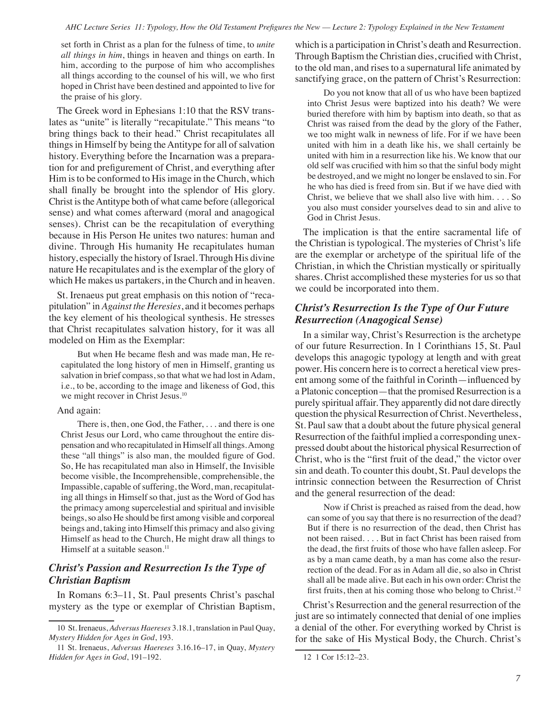set forth in Christ as a plan for the fulness of time, to *unite all things in him*, things in heaven and things on earth. In him, according to the purpose of him who accomplishes all things according to the counsel of his will, we who first hoped in Christ have been destined and appointed to live for the praise of his glory.

The Greek word in Ephesians 1:10 that the RSV translates as "unite" is literally "recapitulate." This means "to bring things back to their head." Christ recapitulates all things in Himself by being the Antitype for all of salvation history. Everything before the Incarnation was a preparation for and prefigurement of Christ, and everything after Him is to be conformed to His image in the Church, which shall finally be brought into the splendor of His glory. Christ is the Antitype both of what came before (allegorical sense) and what comes afterward (moral and anagogical senses). Christ can be the recapitulation of everything because in His Person He unites two natures: human and divine. Through His humanity He recapitulates human history, especially the history of Israel. Through His divine nature He recapitulates and is the exemplar of the glory of which He makes us partakers, in the Church and in heaven.

St. Irenaeus put great emphasis on this notion of "recapitulation" in *Against the Heresies*, and it becomes perhaps the key element of his theological synthesis. He stresses that Christ recapitulates salvation history, for it was all modeled on Him as the Exemplar:

But when He became flesh and was made man, He recapitulated the long history of men in Himself, granting us salvation in brief compass, so that what we had lost in Adam, i.e., to be, according to the image and likeness of God, this we might recover in Christ Jesus.<sup>10</sup>

#### And again:

There is, then, one God, the Father, . . . and there is one Christ Jesus our Lord, who came throughout the entire dispensation and who recapitulated in Himself all things. Among these "all things" is also man, the moulded figure of God. So, He has recapitulated man also in Himself, the Invisible become visible, the Incomprehensible, comprehensible, the Impassible, capable of suffering, the Word, man, recapitulating all things in Himself so that, just as the Word of God has the primacy among supercelestial and spiritual and invisible beings, so also He should be first among visible and corporeal beings and, taking into Himself this primacy and also giving Himself as head to the Church, He might draw all things to Himself at a suitable season.<sup>11</sup>

#### *Christ's Passion and Resurrection Is the Type of Christian Baptism*

In Romans 6:3–11, St. Paul presents Christ's paschal mystery as the type or exemplar of Christian Baptism, which is a participation in Christ's death and Resurrection. Through Baptism the Christian dies, crucified with Christ, to the old man, and rises to a supernatural life animated by sanctifying grace, on the pattern of Christ's Resurrection:

Do you not know that all of us who have been baptized into Christ Jesus were baptized into his death? We were buried therefore with him by baptism into death, so that as Christ was raised from the dead by the glory of the Father, we too might walk in newness of life. For if we have been united with him in a death like his, we shall certainly be united with him in a resurrection like his. We know that our old self was crucified with him so that the sinful body might be destroyed, and we might no longer be enslaved to sin. For he who has died is freed from sin. But if we have died with Christ, we believe that we shall also live with him. . . . So you also must consider yourselves dead to sin and alive to God in Christ Jesus.

The implication is that the entire sacramental life of the Christian is typological. The mysteries of Christ's life are the exemplar or archetype of the spiritual life of the Christian, in which the Christian mystically or spiritually shares. Christ accomplished these mysteries for us so that we could be incorporated into them.

#### *Christ's Resurrection Is the Type of Our Future Resurrection (Anagogical Sense)*

In a similar way, Christ's Resurrection is the archetype of our future Resurrection. In 1 Corinthians 15, St. Paul develops this anagogic typology at length and with great power. His concern here is to correct a heretical view present among some of the faithful in Corinth—influenced by a Platonic conception—that the promised Resurrection is a purely spiritual affair. They apparently did not dare directly question the physical Resurrection of Christ. Nevertheless, St. Paul saw that a doubt about the future physical general Resurrection of the faithful implied a corresponding unexpressed doubt about the historical physical Resurrection of Christ, who is the "first fruit of the dead," the victor over sin and death. To counter this doubt, St. Paul develops the intrinsic connection between the Resurrection of Christ and the general resurrection of the dead:

Now if Christ is preached as raised from the dead, how can some of you say that there is no resurrection of the dead? But if there is no resurrection of the dead, then Christ has not been raised. . . . But in fact Christ has been raised from the dead, the first fruits of those who have fallen asleep. For as by a man came death, by a man has come also the resurrection of the dead. For as in Adam all die, so also in Christ shall all be made alive. But each in his own order: Christ the first fruits, then at his coming those who belong to Christ.<sup>12</sup>

Christ's Resurrection and the general resurrection of the just are so intimately connected that denial of one implies a denial of the other. For everything worked by Christ is for the sake of His Mystical Body, the Church. Christ's

<sup>10</sup> St. Irenaeus, *Adversus Haereses* 3.18.1, translation in Paul Quay, *Mystery Hidden for Ages in God*, 193.

<sup>11</sup> St. Irenaeus, *Adversus Haereses* 3.16.16–17, in Quay, *Mystery Hidden for Ages in God*, 191–192.

<sup>12 1</sup> Cor 15:12–23.